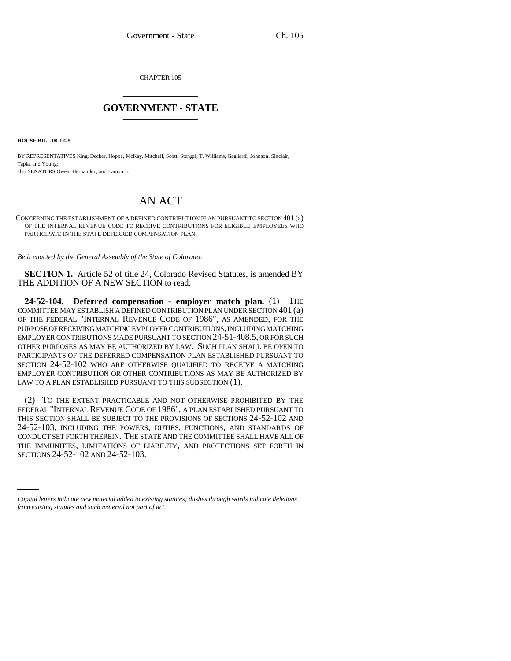CHAPTER 105 \_\_\_\_\_\_\_\_\_\_\_\_\_\_\_

## **GOVERNMENT - STATE** \_\_\_\_\_\_\_\_\_\_\_\_\_\_\_

**HOUSE BILL 00-1225** 

BY REPRESENTATIVES King, Decker, Hoppe, McKay, Mitchell, Scott, Stengel, T. Williams, Gagliardi, Johnson, Sinclair, Tapia, and Young;

also SENATORS Owen, Hernandez, and Lamborn.

## AN ACT

CONCERNING THE ESTABLISHMENT OF A DEFINED CONTRIBUTION PLAN PURSUANT TO SECTION 401 (a) OF THE INTERNAL REVENUE CODE TO RECEIVE CONTRIBUTIONS FOR ELIGIBLE EMPLOYEES WHO PARTICIPATE IN THE STATE DEFERRED COMPENSATION PLAN.

*Be it enacted by the General Assembly of the State of Colorado:*

**SECTION 1.** Article 52 of title 24, Colorado Revised Statutes, is amended BY THE ADDITION OF A NEW SECTION to read:

**24-52-104. Deferred compensation - employer match plan.** (1) THE COMMITTEE MAY ESTABLISH A DEFINED CONTRIBUTION PLAN UNDER SECTION 401 (a) OF THE FEDERAL "INTERNAL REVENUE CODE OF 1986", AS AMENDED, FOR THE PURPOSE OF RECEIVING MATCHING EMPLOYER CONTRIBUTIONS, INCLUDING MATCHING EMPLOYER CONTRIBUTIONS MADE PURSUANT TO SECTION 24-51-408.5, OR FOR SUCH OTHER PURPOSES AS MAY BE AUTHORIZED BY LAW. SUCH PLAN SHALL BE OPEN TO PARTICIPANTS OF THE DEFERRED COMPENSATION PLAN ESTABLISHED PURSUANT TO SECTION 24-52-102 WHO ARE OTHERWISE QUALIFIED TO RECEIVE A MATCHING EMPLOYER CONTRIBUTION OR OTHER CONTRIBUTIONS AS MAY BE AUTHORIZED BY LAW TO A PLAN ESTABLISHED PURSUANT TO THIS SUBSECTION (1).

THE IMMUNITIES, LIMITATIONS OF LIABILITY, AND PROTECTIONS SET FORTH IN (2) TO THE EXTENT PRACTICABLE AND NOT OTHERWISE PROHIBITED BY THE FEDERAL "INTERNAL REVENUE CODE OF 1986", A PLAN ESTABLISHED PURSUANT TO THIS SECTION SHALL BE SUBJECT TO THE PROVISIONS OF SECTIONS 24-52-102 AND 24-52-103, INCLUDING THE POWERS, DUTIES, FUNCTIONS, AND STANDARDS OF CONDUCT SET FORTH THEREIN. THE STATE AND THE COMMITTEE SHALL HAVE ALL OF SECTIONS 24-52-102 AND 24-52-103.

*Capital letters indicate new material added to existing statutes; dashes through words indicate deletions from existing statutes and such material not part of act.*